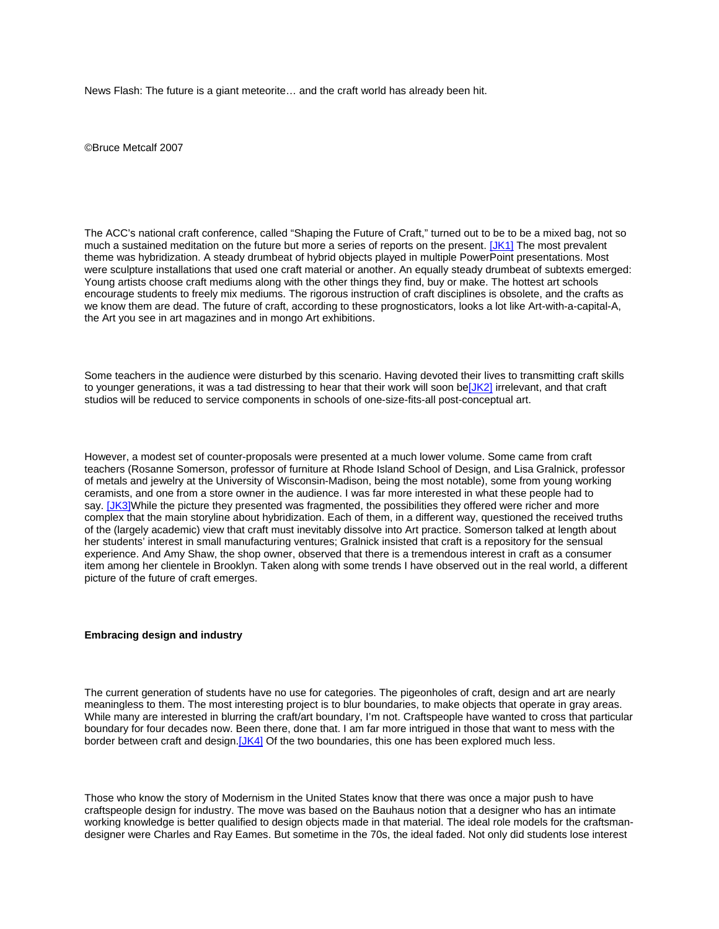News Flash: The future is a giant meteorite… and the craft world has already been hit.

©Bruce Metcalf 2007

The ACC's national craft conference, called "Shaping the Future of Craft," turned out to be to be a mixed bag, not so much a sustained meditation on the future but more a series of reports on the present. [\[JK1\]](x-webdoc://7A3A8FBE-03E8-4FD2-98A9-AF71EC85F456/#_msocom_1) The most prevalent theme was hybridization. A steady drumbeat of hybrid objects played in multiple PowerPoint presentations. Most were sculpture installations that used one craft material or another. An equally steady drumbeat of subtexts emerged: Young artists choose craft mediums along with the other things they find, buy or make. The hottest art schools encourage students to freely mix mediums. The rigorous instruction of craft disciplines is obsolete, and the crafts as we know them are dead. The future of craft, according to these prognosticators, looks a lot like Art-with-a-capital-A, the Art you see in art magazines and in mongo Art exhibitions.

Some teachers in the audience were disturbed by this scenario. Having devoted their lives to transmitting craft skills to younger generations, it was a tad distressing to hear that their work will soon b[e\[JK2\]](x-webdoc://7A3A8FBE-03E8-4FD2-98A9-AF71EC85F456/#_msocom_2) irrelevant, and that craft studios will be reduced to service components in schools of one-size-fits-all post-conceptual art.

However, a modest set of counter-proposals were presented at a much lower volume. Some came from craft teachers (Rosanne Somerson, professor of furniture at Rhode Island School of Design, and Lisa Gralnick, professor of metals and jewelry at the University of Wisconsin-Madison, being the most notable), some from young working ceramists, and one from a store owner in the audience. I was far more interested in what these people had to say. [\[JK3\]W](x-webdoc://7A3A8FBE-03E8-4FD2-98A9-AF71EC85F456/#_msocom_3)hile the picture they presented was fragmented, the possibilities they offered were richer and more complex that the main storyline about hybridization. Each of them, in a different way, questioned the received truths of the (largely academic) view that craft must inevitably dissolve into Art practice. Somerson talked at length about her students' interest in small manufacturing ventures; Gralnick insisted that craft is a repository for the sensual experience. And Amy Shaw, the shop owner, observed that there is a tremendous interest in craft as a consumer item among her clientele in Brooklyn. Taken along with some trends I have observed out in the real world, a different picture of the future of craft emerges.

# **Embracing design and industry**

The current generation of students have no use for categories. The pigeonholes of craft, design and art are nearly meaningless to them. The most interesting project is to blur boundaries, to make objects that operate in gray areas. While many are interested in blurring the craft/art boundary, I'm not. Craftspeople have wanted to cross that particular boundary for four decades now. Been there, done that. I am far more intrigued in those that want to mess with the border between craft and design[.\[JK4\]](x-webdoc://7A3A8FBE-03E8-4FD2-98A9-AF71EC85F456/#_msocom_4) Of the two boundaries, this one has been explored much less.

Those who know the story of Modernism in the United States know that there was once a major push to have craftspeople design for industry. The move was based on the Bauhaus notion that a designer who has an intimate working knowledge is better qualified to design objects made in that material. The ideal role models for the craftsmandesigner were Charles and Ray Eames. But sometime in the 70s, the ideal faded. Not only did students lose interest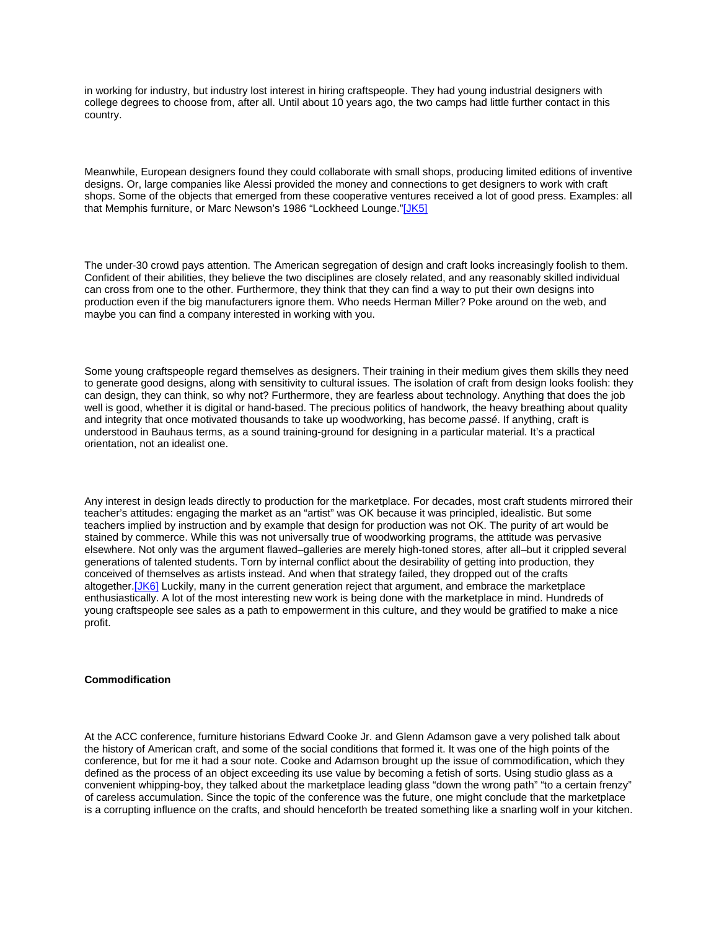in working for industry, but industry lost interest in hiring craftspeople. They had young industrial designers with college degrees to choose from, after all. Until about 10 years ago, the two camps had little further contact in this country.

Meanwhile, European designers found they could collaborate with small shops, producing limited editions of inventive designs. Or, large companies like Alessi provided the money and connections to get designers to work with craft shops. Some of the objects that emerged from these cooperative ventures received a lot of good press. Examples: all that Memphis furniture, or Marc Newson's 1986 "Lockheed Lounge.["\[JK5\]](x-webdoc://7A3A8FBE-03E8-4FD2-98A9-AF71EC85F456/#_msocom_5)

The under-30 crowd pays attention. The American segregation of design and craft looks increasingly foolish to them. Confident of their abilities, they believe the two disciplines are closely related, and any reasonably skilled individual can cross from one to the other. Furthermore, they think that they can find a way to put their own designs into production even if the big manufacturers ignore them. Who needs Herman Miller? Poke around on the web, and maybe you can find a company interested in working with you.

Some young craftspeople regard themselves as designers. Their training in their medium gives them skills they need to generate good designs, along with sensitivity to cultural issues. The isolation of craft from design looks foolish: they can design, they can think, so why not? Furthermore, they are fearless about technology. Anything that does the job well is good, whether it is digital or hand-based. The precious politics of handwork, the heavy breathing about quality and integrity that once motivated thousands to take up woodworking, has become *passé*. If anything, craft is understood in Bauhaus terms, as a sound training-ground for designing in a particular material. It's a practical orientation, not an idealist one.

Any interest in design leads directly to production for the marketplace. For decades, most craft students mirrored their teacher's attitudes: engaging the market as an "artist" was OK because it was principled, idealistic. But some teachers implied by instruction and by example that design for production was not OK. The purity of art would be stained by commerce. While this was not universally true of woodworking programs, the attitude was pervasive elsewhere. Not only was the argument flawed–galleries are merely high-toned stores, after all–but it crippled several generations of talented students. Torn by internal conflict about the desirability of getting into production, they conceived of themselves as artists instead. And when that strategy failed, they dropped out of the crafts altogether[.\[JK6\]](x-webdoc://7A3A8FBE-03E8-4FD2-98A9-AF71EC85F456/#_msocom_6) Luckily, many in the current generation reject that argument, and embrace the marketplace enthusiastically. A lot of the most interesting new work is being done with the marketplace in mind. Hundreds of young craftspeople see sales as a path to empowerment in this culture, and they would be gratified to make a nice profit.

### **Commodification**

At the ACC conference, furniture historians Edward Cooke Jr. and Glenn Adamson gave a very polished talk about the history of American craft, and some of the social conditions that formed it. It was one of the high points of the conference, but for me it had a sour note. Cooke and Adamson brought up the issue of commodification, which they defined as the process of an object exceeding its use value by becoming a fetish of sorts. Using studio glass as a convenient whipping-boy, they talked about the marketplace leading glass "down the wrong path" "to a certain frenzy" of careless accumulation. Since the topic of the conference was the future, one might conclude that the marketplace is a corrupting influence on the crafts, and should henceforth be treated something like a snarling wolf in your kitchen.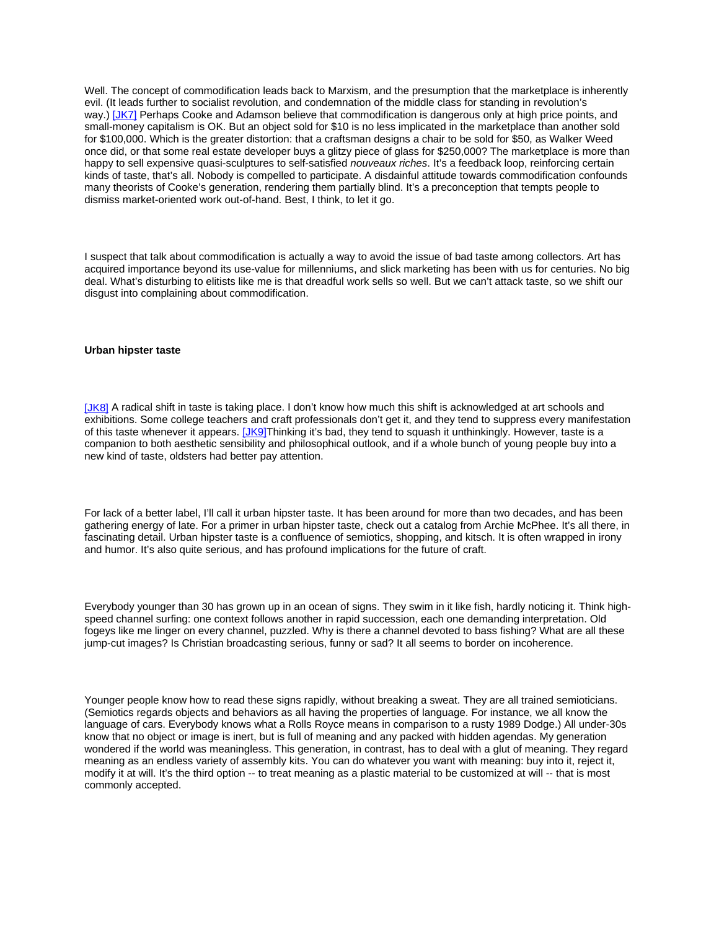Well. The concept of commodification leads back to Marxism, and the presumption that the marketplace is inherently evil. (It leads further to socialist revolution, and condemnation of the middle class for standing in revolution's way.) [\[JK7\]](x-webdoc://7A3A8FBE-03E8-4FD2-98A9-AF71EC85F456/#_msocom_7) Perhaps Cooke and Adamson believe that commodification is dangerous only at high price points, and small-money capitalism is OK. But an object sold for \$10 is no less implicated in the marketplace than another sold for \$100,000. Which is the greater distortion: that a craftsman designs a chair to be sold for \$50, as Walker Weed once did, or that some real estate developer buys a glitzy piece of glass for \$250,000? The marketplace is more than happy to sell expensive quasi-sculptures to self-satisfied *nouveaux riches*. It's a feedback loop, reinforcing certain kinds of taste, that's all. Nobody is compelled to participate. A disdainful attitude towards commodification confounds many theorists of Cooke's generation, rendering them partially blind. It's a preconception that tempts people to dismiss market-oriented work out-of-hand. Best, I think, to let it go.

I suspect that talk about commodification is actually a way to avoid the issue of bad taste among collectors. Art has acquired importance beyond its use-value for millenniums, and slick marketing has been with us for centuries. No big deal. What's disturbing to elitists like me is that dreadful work sells so well. But we can't attack taste, so we shift our disgust into complaining about commodification.

#### **Urban hipster taste**

[\[JK8\]](x-webdoc://7A3A8FBE-03E8-4FD2-98A9-AF71EC85F456/#_msocom_8) A radical shift in taste is taking place. I don't know how much this shift is acknowledged at art schools and exhibitions. Some college teachers and craft professionals don't get it, and they tend to suppress every manifestation of this taste whenever it appears. [\[JK9\]T](x-webdoc://7A3A8FBE-03E8-4FD2-98A9-AF71EC85F456/#_msocom_9)hinking it's bad, they tend to squash it unthinkingly. However, taste is a companion to both aesthetic sensibility and philosophical outlook, and if a whole bunch of young people buy into a new kind of taste, oldsters had better pay attention.

For lack of a better label, I'll call it urban hipster taste. It has been around for more than two decades, and has been gathering energy of late. For a primer in urban hipster taste, check out a catalog from Archie McPhee. It's all there, in fascinating detail. Urban hipster taste is a confluence of semiotics, shopping, and kitsch. It is often wrapped in irony and humor. It's also quite serious, and has profound implications for the future of craft.

Everybody younger than 30 has grown up in an ocean of signs. They swim in it like fish, hardly noticing it. Think highspeed channel surfing: one context follows another in rapid succession, each one demanding interpretation. Old fogeys like me linger on every channel, puzzled. Why is there a channel devoted to bass fishing? What are all these jump-cut images? Is Christian broadcasting serious, funny or sad? It all seems to border on incoherence.

Younger people know how to read these signs rapidly, without breaking a sweat. They are all trained semioticians. (Semiotics regards objects and behaviors as all having the properties of language. For instance, we all know the language of cars. Everybody knows what a Rolls Royce means in comparison to a rusty 1989 Dodge.) All under-30s know that no object or image is inert, but is full of meaning and any packed with hidden agendas. My generation wondered if the world was meaningless. This generation, in contrast, has to deal with a glut of meaning. They regard meaning as an endless variety of assembly kits. You can do whatever you want with meaning: buy into it, reject it, modify it at will. It's the third option -- to treat meaning as a plastic material to be customized at will -- that is most commonly accepted.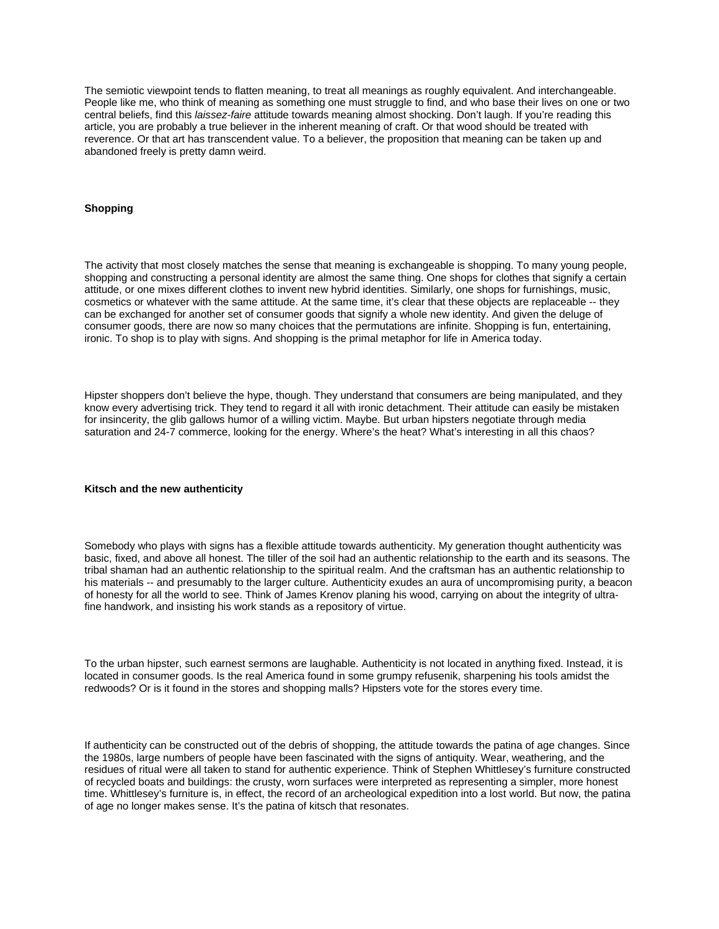The semiotic viewpoint tends to flatten meaning, to treat all meanings as roughly equivalent. And interchangeable. People like me, who think of meaning as something one must struggle to find, and who base their lives on one or two central beliefs, find this *laissez-faire* attitude towards meaning almost shocking. Don't laugh. If you're reading this article, you are probably a true believer in the inherent meaning of craft. Or that wood should be treated with reverence. Or that art has transcendent value. To a believer, the proposition that meaning can be taken up and abandoned freely is pretty damn weird.

### **Shopping**

The activity that most closely matches the sense that meaning is exchangeable is shopping. To many young people, shopping and constructing a personal identity are almost the same thing. One shops for clothes that signify a certain attitude, or one mixes different clothes to invent new hybrid identities. Similarly, one shops for furnishings, music, cosmetics or whatever with the same attitude. At the same time, it's clear that these objects are replaceable -- they can be exchanged for another set of consumer goods that signify a whole new identity. And given the deluge of consumer goods, there are now so many choices that the permutations are infinite. Shopping is fun, entertaining, ironic. To shop is to play with signs. And shopping is the primal metaphor for life in America today.

Hipster shoppers don't believe the hype, though. They understand that consumers are being manipulated, and they know every advertising trick. They tend to regard it all with ironic detachment. Their attitude can easily be mistaken for insincerity, the glib gallows humor of a willing victim. Maybe. But urban hipsters negotiate through media saturation and 24-7 commerce, looking for the energy. Where's the heat? What's interesting in all this chaos?

#### **Kitsch and the new authenticity**

Somebody who plays with signs has a flexible attitude towards authenticity. My generation thought authenticity was basic, fixed, and above all honest. The tiller of the soil had an authentic relationship to the earth and its seasons. The tribal shaman had an authentic relationship to the spiritual realm. And the craftsman has an authentic relationship to his materials -- and presumably to the larger culture. Authenticity exudes an aura of uncompromising purity, a beacon of honesty for all the world to see. Think of James Krenov planing his wood, carrying on about the integrity of ultrafine handwork, and insisting his work stands as a repository of virtue.

To the urban hipster, such earnest sermons are laughable. Authenticity is not located in anything fixed. Instead, it is located in consumer goods. Is the real America found in some grumpy refusenik, sharpening his tools amidst the redwoods? Or is it found in the stores and shopping malls? Hipsters vote for the stores every time.

If authenticity can be constructed out of the debris of shopping, the attitude towards the patina of age changes. Since the 1980s, large numbers of people have been fascinated with the signs of antiquity. Wear, weathering, and the residues of ritual were all taken to stand for authentic experience. Think of Stephen Whittlesey's furniture constructed of recycled boats and buildings: the crusty, worn surfaces were interpreted as representing a simpler, more honest time. Whittlesey's furniture is, in effect, the record of an archeological expedition into a lost world. But now, the patina of age no longer makes sense. It's the patina of kitsch that resonates.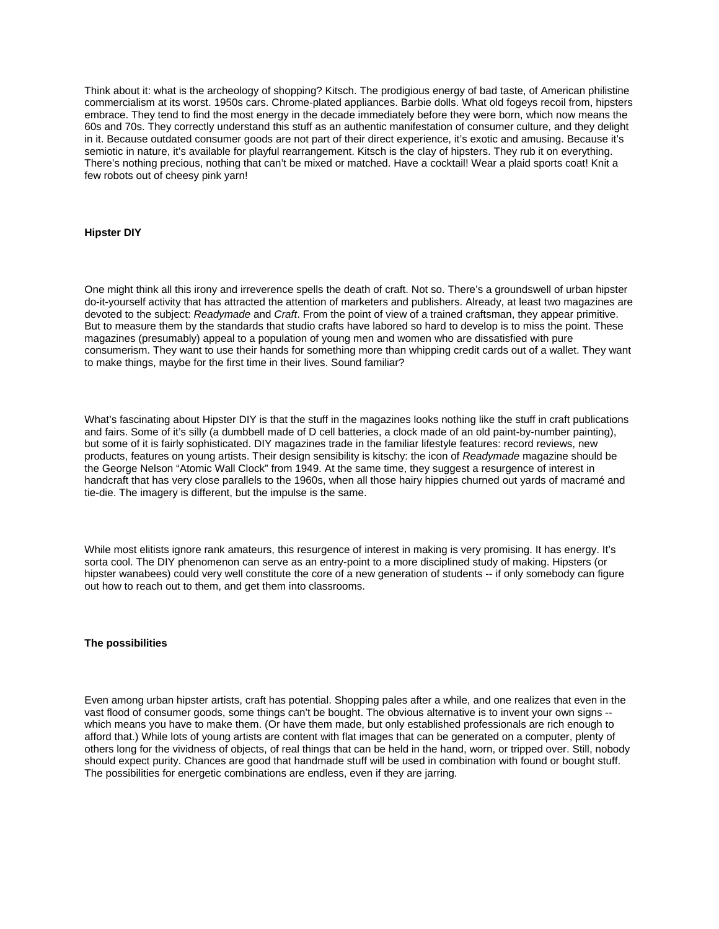Think about it: what is the archeology of shopping? Kitsch. The prodigious energy of bad taste, of American philistine commercialism at its worst. 1950s cars. Chrome-plated appliances. Barbie dolls. What old fogeys recoil from, hipsters embrace. They tend to find the most energy in the decade immediately before they were born, which now means the 60s and 70s. They correctly understand this stuff as an authentic manifestation of consumer culture, and they delight in it. Because outdated consumer goods are not part of their direct experience, it's exotic and amusing. Because it's semiotic in nature, it's available for playful rearrangement. Kitsch is the clay of hipsters. They rub it on everything. There's nothing precious, nothing that can't be mixed or matched. Have a cocktail! Wear a plaid sports coat! Knit a few robots out of cheesy pink yarn!

## **Hipster DIY**

One might think all this irony and irreverence spells the death of craft. Not so. There's a groundswell of urban hipster do-it-yourself activity that has attracted the attention of marketers and publishers. Already, at least two magazines are devoted to the subject: *Readymade* and *Craft*. From the point of view of a trained craftsman, they appear primitive. But to measure them by the standards that studio crafts have labored so hard to develop is to miss the point. These magazines (presumably) appeal to a population of young men and women who are dissatisfied with pure consumerism. They want to use their hands for something more than whipping credit cards out of a wallet. They want to make things, maybe for the first time in their lives. Sound familiar?

What's fascinating about Hipster DIY is that the stuff in the magazines looks nothing like the stuff in craft publications and fairs. Some of it's silly (a dumbbell made of D cell batteries, a clock made of an old paint-by-number painting), but some of it is fairly sophisticated. DIY magazines trade in the familiar lifestyle features: record reviews, new products, features on young artists. Their design sensibility is kitschy: the icon of *Readymade* magazine should be the George Nelson "Atomic Wall Clock" from 1949. At the same time, they suggest a resurgence of interest in handcraft that has very close parallels to the 1960s, when all those hairy hippies churned out yards of macramé and tie-die. The imagery is different, but the impulse is the same.

While most elitists ignore rank amateurs, this resurgence of interest in making is very promising. It has energy. It's sorta cool. The DIY phenomenon can serve as an entry-point to a more disciplined study of making. Hipsters (or hipster wanabees) could very well constitute the core of a new generation of students -- if only somebody can figure out how to reach out to them, and get them into classrooms.

### **The possibilities**

Even among urban hipster artists, craft has potential. Shopping pales after a while, and one realizes that even in the vast flood of consumer goods, some things can't be bought. The obvious alternative is to invent your own signs - which means you have to make them. (Or have them made, but only established professionals are rich enough to afford that.) While lots of young artists are content with flat images that can be generated on a computer, plenty of others long for the vividness of objects, of real things that can be held in the hand, worn, or tripped over. Still, nobody should expect purity. Chances are good that handmade stuff will be used in combination with found or bought stuff. The possibilities for energetic combinations are endless, even if they are jarring.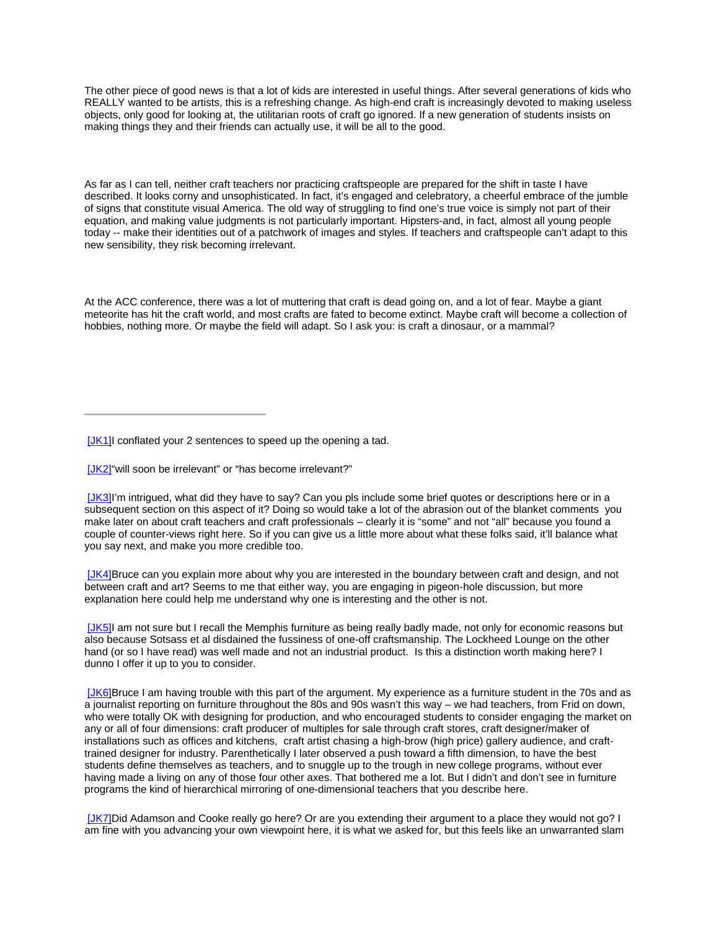The other piece of good news is that a lot of kids are interested in useful things. After several generations of kids who REALLY wanted to be artists, this is a refreshing change. As high-end craft is increasingly devoted to making useless objects, only good for looking at, the utilitarian roots of craft go ignored. If a new generation of students insists on making things they and their friends can actually use, it will be all to the good.

As far as I can tell, neither craft teachers nor practicing craftspeople are prepared for the shift in taste I have described. It looks corny and unsophisticated. In fact, it's engaged and celebratory, a cheerful embrace of the jumble of signs that constitute visual America. The old way of struggling to find one's true voice is simply not part of their equation, and making value judgments is not particularly important. Hipsters-and, in fact, almost all young people today -- make their identities out of a patchwork of images and styles. If teachers and craftspeople can't adapt to this new sensibility, they risk becoming irrelevant.

At the ACC conference, there was a lot of muttering that craft is dead going on, and a lot of fear. Maybe a giant meteorite has hit the craft world, and most crafts are fated to become extinct. Maybe craft will become a collection of hobbies, nothing more. Or maybe the field will adapt. So I ask you: is craft a dinosaur, or a mammal?

[\[JK1\]I](x-webdoc://7A3A8FBE-03E8-4FD2-98A9-AF71EC85F456/#_msoanchor_1) conflated your 2 sentences to speed up the opening a tad.

[\[JK2\]"](x-webdoc://7A3A8FBE-03E8-4FD2-98A9-AF71EC85F456/#_msoanchor_2)will soon be irrelevant" or "has become irrelevant?"

[\[JK3\]I](x-webdoc://7A3A8FBE-03E8-4FD2-98A9-AF71EC85F456/#_msoanchor_3)'m intrigued, what did they have to say? Can you pls include some brief quotes or descriptions here or in a subsequent section on this aspect of it? Doing so would take a lot of the abrasion out of the blanket comments you make later on about craft teachers and craft professionals – clearly it is "some" and not "all" because you found a couple of counter-views right here. So if you can give us a little more about what these folks said, it'll balance what you say next, and make you more credible too.

[\[JK4\]B](x-webdoc://7A3A8FBE-03E8-4FD2-98A9-AF71EC85F456/#_msoanchor_4)ruce can you explain more about why you are interested in the boundary between craft and design, and not between craft and art? Seems to me that either way, you are engaging in pigeon-hole discussion, but more explanation here could help me understand why one is interesting and the other is not.

[\[JK5\]I](x-webdoc://7A3A8FBE-03E8-4FD2-98A9-AF71EC85F456/#_msoanchor_5) am not sure but I recall the Memphis furniture as being really badly made, not only for economic reasons but also because Sotsass et al disdained the fussiness of one-off craftsmanship. The Lockheed Lounge on the other hand (or so I have read) was well made and not an industrial product. Is this a distinction worth making here? I dunno I offer it up to you to consider.

[\[JK6\]B](x-webdoc://7A3A8FBE-03E8-4FD2-98A9-AF71EC85F456/#_msoanchor_6)ruce I am having trouble with this part of the argument. My experience as a furniture student in the 70s and as a journalist reporting on furniture throughout the 80s and 90s wasn't this way – we had teachers, from Frid on down, who were totally OK with designing for production, and who encouraged students to consider engaging the market on any or all of four dimensions: craft producer of multiples for sale through craft stores, craft designer/maker of installations such as offices and kitchens, craft artist chasing a high-brow (high price) gallery audience, and crafttrained designer for industry. Parenthetically I later observed a push toward a fifth dimension, to have the best students define themselves as teachers, and to snuggle up to the trough in new college programs, without ever having made a living on any of those four other axes. That bothered me a lot. But I didn't and don't see in furniture programs the kind of hierarchical mirroring of one-dimensional teachers that you describe here.

[\[JK7\]D](x-webdoc://7A3A8FBE-03E8-4FD2-98A9-AF71EC85F456/#_msoanchor_7)id Adamson and Cooke really go here? Or are you extending their argument to a place they would not go? I am fine with you advancing your own viewpoint here, it is what we asked for, but this feels like an unwarranted slam